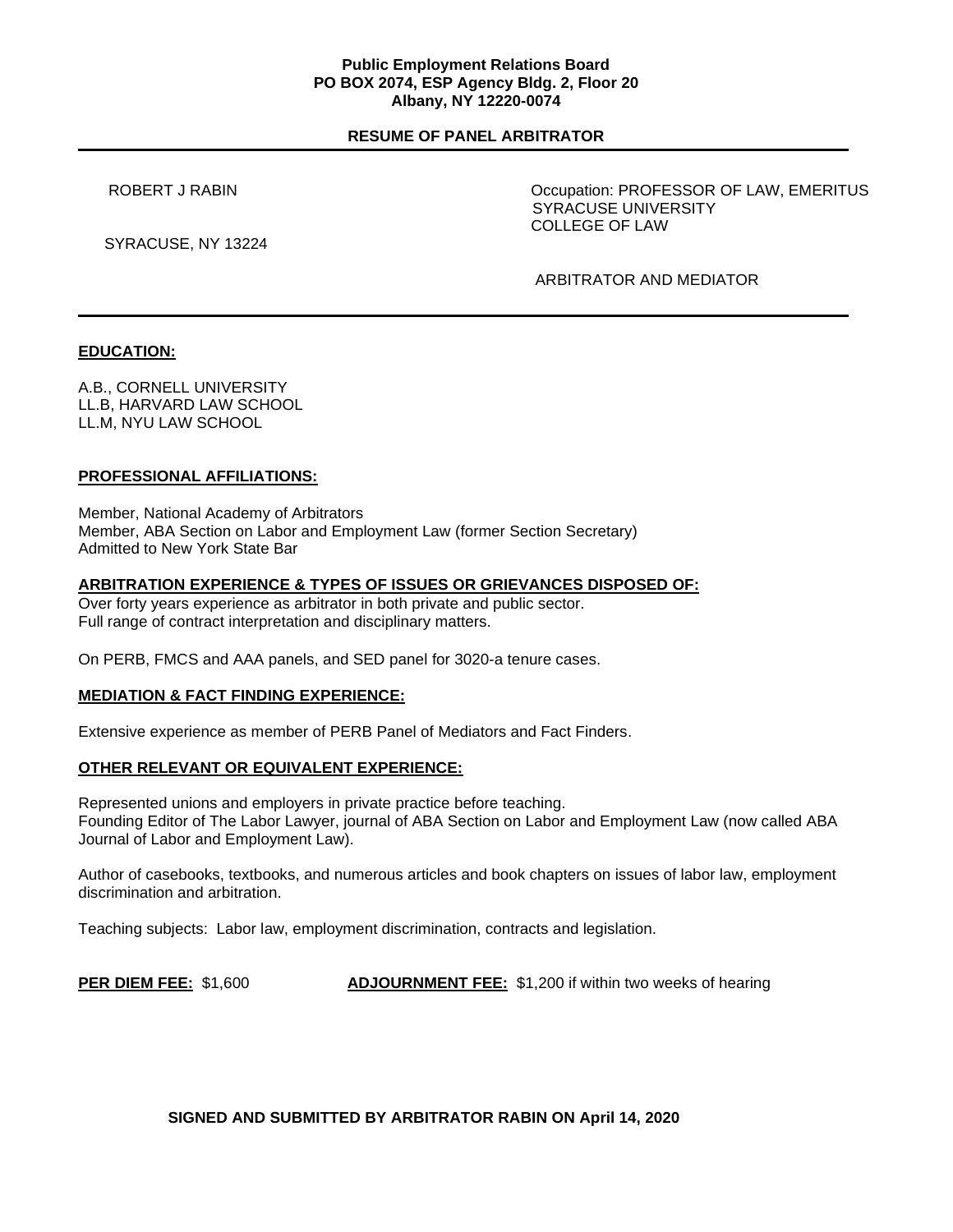## **Public Employment Relations Board PO BOX 2074, ESP Agency Bldg. 2, Floor 20 Albany, NY 12220-0074**

# **RESUME OF PANEL ARBITRATOR**

ROBERT J RABIN **EXECUTE:** NORTHLING CONSTRUCTION: PROFESSOR OF LAW, EMERITUS SYRACUSE UNIVERSITY COLLEGE OF LAW

SYRACUSE, NY 13224

ARBITRATOR AND MEDIATOR

# **EDUCATION:**

A.B., CORNELL UNIVERSITY LL.B, HARVARD LAW SCHOOL LL.M, NYU LAW SCHOOL

# **PROFESSIONAL AFFILIATIONS:**

Member, National Academy of Arbitrators Member, ABA Section on Labor and Employment Law (former Section Secretary) Admitted to New York State Bar

## **ARBITRATION EXPERIENCE & TYPES OF ISSUES OR GRIEVANCES DISPOSED OF:**

Over forty years experience as arbitrator in both private and public sector. Full range of contract interpretation and disciplinary matters.

On PERB, FMCS and AAA panels, and SED panel for 3020-a tenure cases.

# **MEDIATION & FACT FINDING EXPERIENCE:**

Extensive experience as member of PERB Panel of Mediators and Fact Finders.

## **OTHER RELEVANT OR EQUIVALENT EXPERIENCE:**

Represented unions and employers in private practice before teaching. Founding Editor of The Labor Lawyer, journal of ABA Section on Labor and Employment Law (now called ABA Journal of Labor and Employment Law).

Author of casebooks, textbooks, and numerous articles and book chapters on issues of labor law, employment discrimination and arbitration.

Teaching subjects: Labor law, employment discrimination, contracts and legislation.

**PER DIEM FEE:** \$1,600 **ADJOURNMENT FEE:** \$1,200 if within two weeks of hearing

**SIGNED AND SUBMITTED BY ARBITRATOR RABIN ON April 14, 2020**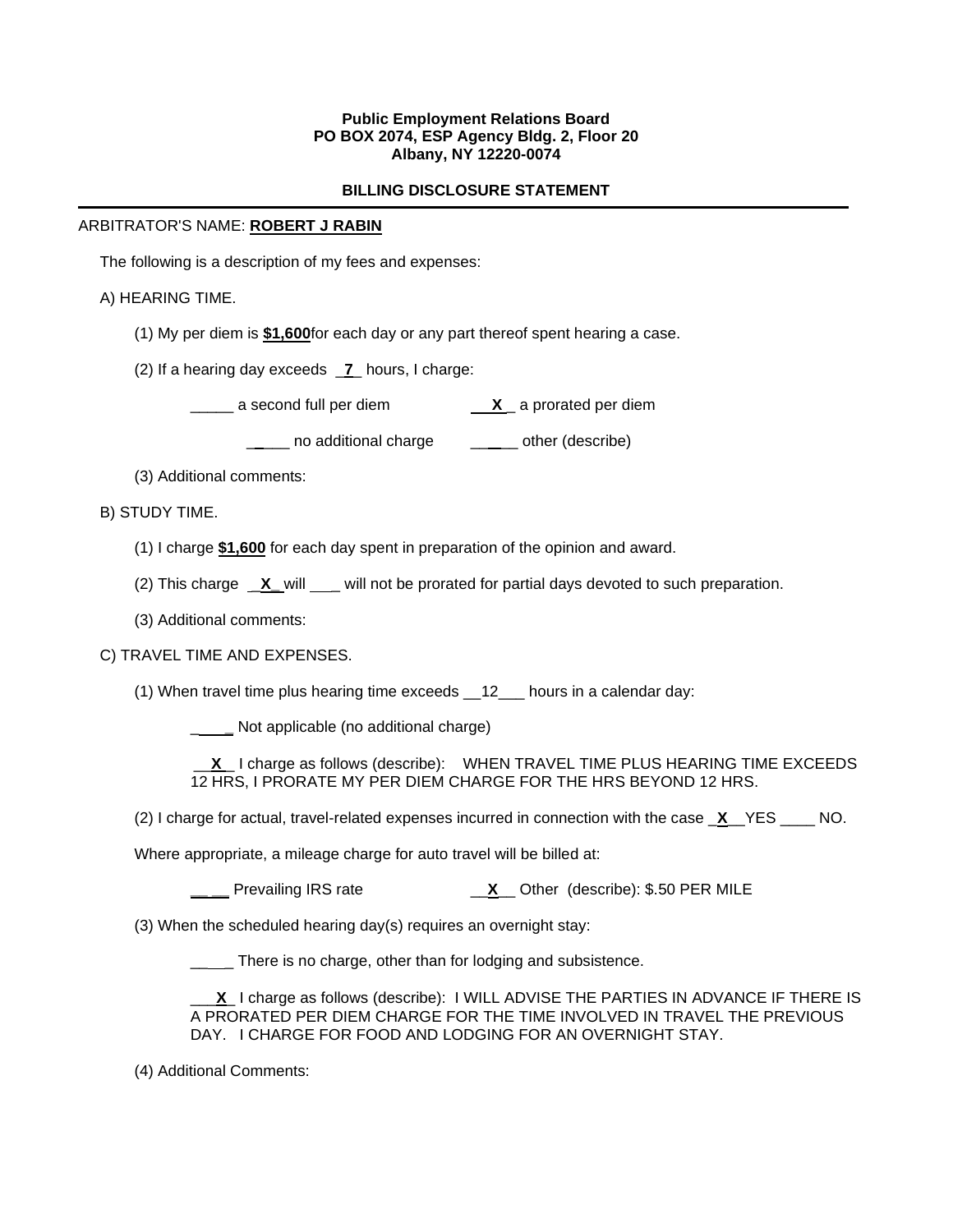# **Public Employment Relations Board PO BOX 2074, ESP Agency Bldg. 2, Floor 20 Albany, NY 12220-0074**

# **BILLING DISCLOSURE STATEMENT**

## ARBITRATOR'S NAME: **ROBERT J RABIN**

The following is a description of my fees and expenses:

A) HEARING TIME.

- (1) My per diem is **\$1,600**for each day or any part thereof spent hearing a case.
- (2) If a hearing day exceeds \_**7**\_ hours, I charge:

\_\_\_\_\_ a second full per diem **X** \_ a prorated per diem

\_ \_\_ no additional charge \_\_ \_ \_ other (describe)

(3) Additional comments:

B) STUDY TIME.

- (1) I charge **\$1,600** for each day spent in preparation of the opinion and award.
- (2) This charge **X\_will \_\_** will not be prorated for partial days devoted to such preparation.
- (3) Additional comments:

## C) TRAVEL TIME AND EXPENSES.

(1) When travel time plus hearing time exceeds \_\_12\_\_\_ hours in a calendar day:

\_ **\_** Not applicable (no additional charge)

 \_\_**X** \_ I charge as follows (describe): WHEN TRAVEL TIME PLUS HEARING TIME EXCEEDS 12 HRS, I PRORATE MY PER DIEM CHARGE FOR THE HRS BEYOND 12 HRS.

(2) I charge for actual, travel-related expenses incurred in connection with the case \_**X**\_\_YES \_\_\_\_ NO.

Where appropriate, a mileage charge for auto travel will be billed at:

**\_\_ \_\_** Prevailing IRS rate \_\_**X**\_\_ Other (describe): \$.50 PER MILE

(3) When the scheduled hearing day(s) requires an overnight stay:

There is no charge, other than for lodging and subsistence.

\_\_\_**X**\_ I charge as follows (describe): I WILL ADVISE THE PARTIES IN ADVANCE IF THERE IS A PRORATED PER DIEM CHARGE FOR THE TIME INVOLVED IN TRAVEL THE PREVIOUS DAY. I CHARGE FOR FOOD AND LODGING FOR AN OVERNIGHT STAY.

(4) Additional Comments: